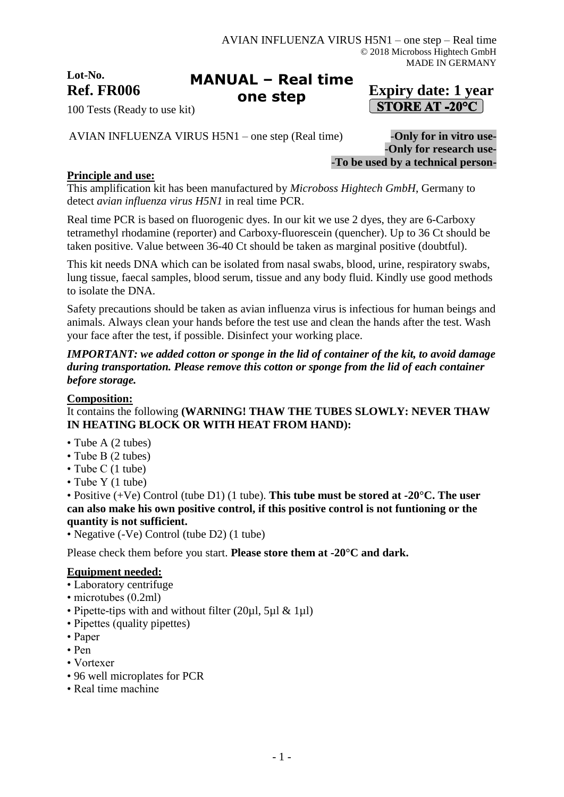**Lot-No.**

#### Ref. FR006 **Expiry date:** 1 year **MANUAL – Real time one step**

# **STORE AT -20°C**

100 Tests (Ready to use kit)

AVIAN INFLUENZA VIRUS H5N1 – one step (Real time) -**Only for in vitro use-**

-**Only for research use-** -**To be used by a technical person-**

#### **Principle and use:**

This amplification kit has been manufactured by *Microboss Hightech GmbH*, Germany to detect *avian influenza virus H5N1* in real time PCR.

Real time PCR is based on fluorogenic dyes. In our kit we use 2 dyes, they are 6-Carboxy tetramethyl rhodamine (reporter) and Carboxy-fluorescein (quencher). Up to 36 Ct should be taken positive. Value between 36-40 Ct should be taken as marginal positive (doubtful).

This kit needs DNA which can be isolated from nasal swabs, blood, urine, respiratory swabs, lung tissue, faecal samples, blood serum, tissue and any body fluid. Kindly use good methods to isolate the DNA.

Safety precautions should be taken as avian influenza virus is infectious for human beings and animals. Always clean your hands before the test use and clean the hands after the test. Wash your face after the test, if possible. Disinfect your working place.

#### *IMPORTANT: we added cotton or sponge in the lid of container of the kit, to avoid damage during transportation. Please remove this cotton or sponge from the lid of each container before storage.*

#### **Composition:**

#### It contains the following **(WARNING! THAW THE TUBES SLOWLY: NEVER THAW IN HEATING BLOCK OR WITH HEAT FROM HAND):**

- Tube A (2 tubes)
- Tube B (2 tubes)
- Tube C (1 tube)
- Tube Y (1 tube)

• Positive (+Ve) Control (tube D1) (1 tube). **This tube must be stored at -20°C. The user can also make his own positive control, if this positive control is not funtioning or the quantity is not sufficient.**

• Negative (-Ve) Control (tube D2) (1 tube)

Please check them before you start. **Please store them at -20°C and dark.**

#### **Equipment needed:**

- Laboratory centrifuge
- microtubes (0.2ml)
- Pipette-tips with and without filter (20ul, 5ul & 1ul)
- Pipettes (quality pipettes)
- Paper
- Pen
- Vortexer
- 96 well microplates for PCR
- Real time machine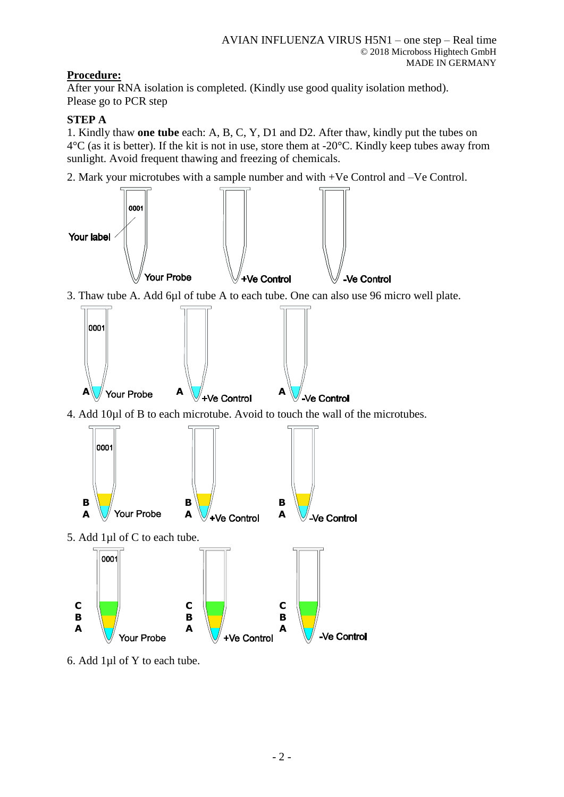## **Procedure:**

After your RNA isolation is completed. (Kindly use good quality isolation method). Please go to PCR step

### **STEP A**

1. Kindly thaw **one tube** each: A, B, C, Y, D1 and D2. After thaw, kindly put the tubes on  $4^{\circ}$ C (as it is better). If the kit is not in use, store them at -20 $^{\circ}$ C. Kindly keep tubes away from sunlight. Avoid frequent thawing and freezing of chemicals.

2. Mark your microtubes with a sample number and with +Ve Control and –Ve Control.



6. Add 1µl of Y to each tube.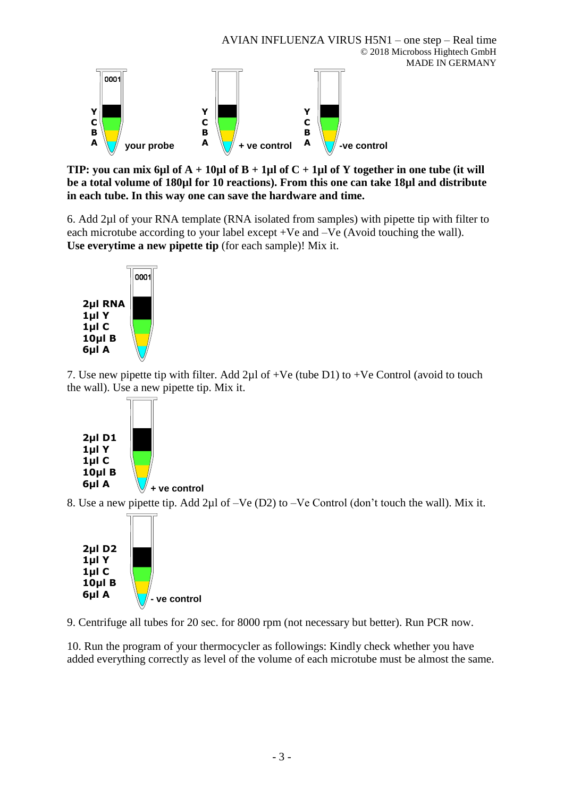

**TIP:** you can mix 6µl of  $A + 10\mu$ l of  $B + 1\mu$ l of  $C + 1\mu$ l of Y together in one tube (it will **be a total volume of 180µl for 10 reactions). From this one can take 18µl and distribute in each tube. In this way one can save the hardware and time.**

6. Add 2µl of your RNA template (RNA isolated from samples) with pipette tip with filter to each microtube according to your label except +Ve and –Ve (Avoid touching the wall). **Use everytime a new pipette tip** (for each sample)! Mix it.



7. Use new pipette tip with filter. Add  $2\mu$ l of +Ve (tube D1) to +Ve Control (avoid to touch the wall). Use a new pipette tip. Mix it.



8. Use a new pipette tip. Add 2µl of –Ve (D2) to –Ve Control (don't touch the wall). Mix it.



9. Centrifuge all tubes for 20 sec. for 8000 rpm (not necessary but better). Run PCR now.

10. Run the program of your thermocycler as followings: Kindly check whether you have added everything correctly as level of the volume of each microtube must be almost the same.